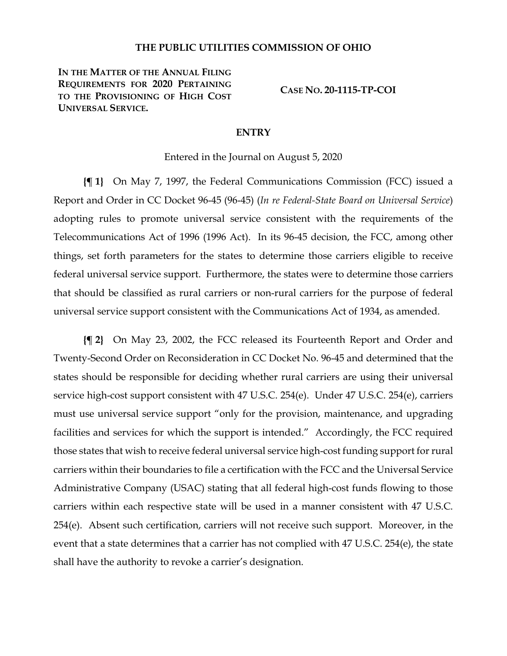### **THE PUBLIC UTILITIES COMMISSION OF OHIO**

**IN THE MATTER OF THE ANNUAL FILING REQUIREMENTS FOR 2020 PERTAINING TO THE PROVISIONING OF HIGH COST UNIVERSAL SERVICE.**

**CASE NO. 20-1115-TP-COI**

### **ENTRY**

Entered in the Journal on August 5, 2020

**{¶ 1}** On May 7, 1997, the Federal Communications Commission (FCC) issued a Report and Order in CC Docket 96-45 (96-45) (*In re Federal-State Board on Universal Service*) adopting rules to promote universal service consistent with the requirements of the Telecommunications Act of 1996 (1996 Act). In its 96-45 decision, the FCC, among other things, set forth parameters for the states to determine those carriers eligible to receive federal universal service support. Furthermore, the states were to determine those carriers that should be classified as rural carriers or non-rural carriers for the purpose of federal universal service support consistent with the Communications Act of 1934, as amended.

**{¶ 2}** On May 23, 2002, the FCC released its Fourteenth Report and Order and Twenty-Second Order on Reconsideration in CC Docket No. 96-45 and determined that the states should be responsible for deciding whether rural carriers are using their universal service high-cost support consistent with 47 U.S.C. 254(e). Under 47 U.S.C. 254(e), carriers must use universal service support "only for the provision, maintenance, and upgrading facilities and services for which the support is intended." Accordingly, the FCC required those states that wish to receive federal universal service high-cost funding support for rural carriers within their boundaries to file a certification with the FCC and the Universal Service Administrative Company (USAC) stating that all federal high-cost funds flowing to those carriers within each respective state will be used in a manner consistent with 47 U.S.C. 254(e). Absent such certification, carriers will not receive such support. Moreover, in the event that a state determines that a carrier has not complied with 47 U.S.C. 254(e), the state shall have the authority to revoke a carrier's designation.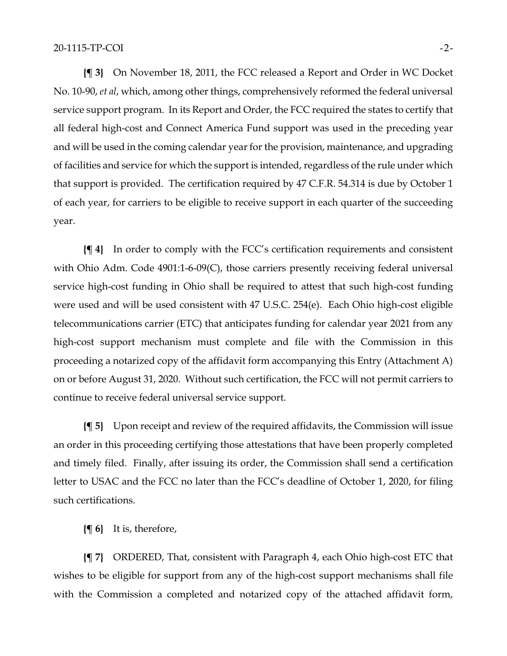**{¶ 3}** On November 18, 2011, the FCC released a Report and Order in WC Docket No. 10-90, *et al*, which, among other things, comprehensively reformed the federal universal service support program. In its Report and Order, the FCC required the states to certify that all federal high-cost and Connect America Fund support was used in the preceding year and will be used in the coming calendar year for the provision, maintenance, and upgrading of facilities and service for which the support is intended, regardless of the rule under which that support is provided. The certification required by 47 C.F.R. 54.314 is due by October 1 of each year, for carriers to be eligible to receive support in each quarter of the succeeding year.

**{¶ 4}** In order to comply with the FCC's certification requirements and consistent with Ohio Adm. Code 4901:1-6-09(C), those carriers presently receiving federal universal service high-cost funding in Ohio shall be required to attest that such high-cost funding were used and will be used consistent with 47 U.S.C. 254(e). Each Ohio high-cost eligible telecommunications carrier (ETC) that anticipates funding for calendar year 2021 from any high-cost support mechanism must complete and file with the Commission in this proceeding a notarized copy of the affidavit form accompanying this Entry (Attachment A) on or before August 31, 2020. Without such certification, the FCC will not permit carriers to continue to receive federal universal service support.

**{¶ 5}** Upon receipt and review of the required affidavits, the Commission will issue an order in this proceeding certifying those attestations that have been properly completed and timely filed. Finally, after issuing its order, the Commission shall send a certification letter to USAC and the FCC no later than the FCC's deadline of October 1, 2020, for filing such certifications.

**{¶ 6}** It is, therefore,

**{¶ 7}** ORDERED, That, consistent with Paragraph 4, each Ohio high-cost ETC that wishes to be eligible for support from any of the high-cost support mechanisms shall file with the Commission a completed and notarized copy of the attached affidavit form,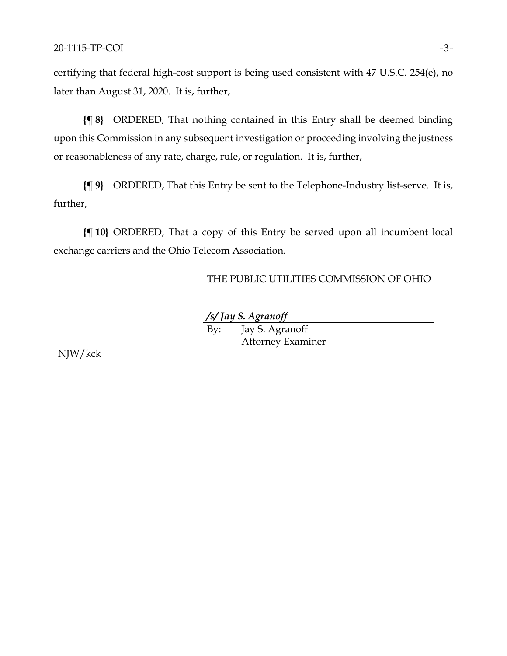certifying that federal high-cost support is being used consistent with 47 U.S.C. 254(e), no later than August 31, 2020. It is, further,

**{¶ 8}** ORDERED, That nothing contained in this Entry shall be deemed binding upon this Commission in any subsequent investigation or proceeding involving the justness or reasonableness of any rate, charge, rule, or regulation. It is, further,

**{¶ 9}** ORDERED, That this Entry be sent to the Telephone-Industry list-serve. It is, further,

**{¶ 10}** ORDERED, That a copy of this Entry be served upon all incumbent local exchange carriers and the Ohio Telecom Association.

THE PUBLIC UTILITIES COMMISSION OF OHIO

*/s/ Jay S. Agranoff* By: Jay S. Agranoff Attorney Examiner

NJW/kck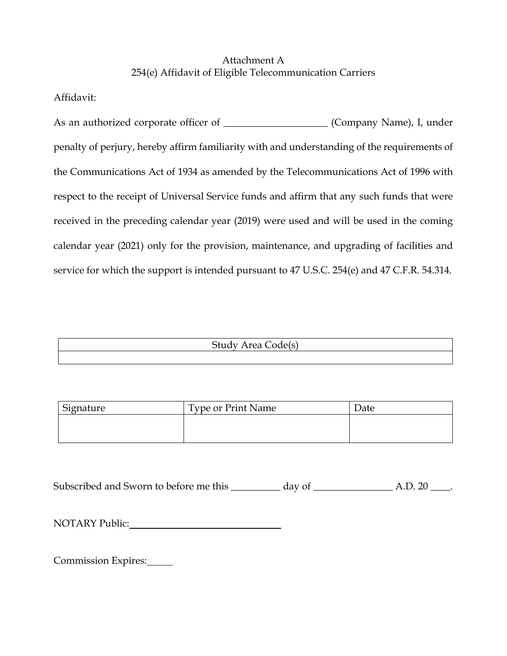# Attachment A 254(e) Affidavit of Eligible Telecommunication Carriers

Affidavit:

As an authorized corporate officer of \_\_\_\_\_\_\_\_\_\_\_\_\_\_\_\_\_\_\_\_\_\_ (Company Name), I, under penalty of perjury, hereby affirm familiarity with and understanding of the requirements of the Communications Act of 1934 as amended by the Telecommunications Act of 1996 with respect to the receipt of Universal Service funds and affirm that any such funds that were received in the preceding calendar year (2019) were used and will be used in the coming calendar year (2021) only for the provision, maintenance, and upgrading of facilities and service for which the support is intended pursuant to 47 U.S.C. 254(e) and 47 C.F.R. 54.314.

Study Area Code(s)

| Signature | <b>Type or Print Name</b> | Date |
|-----------|---------------------------|------|
|           |                           |      |
|           |                           |      |
|           |                           |      |

Subscribed and Sworn to before me this **\_\_\_\_\_\_\_\_\_\_** day of **\_\_\_\_\_\_\_\_\_\_\_\_\_\_\_\_** A.D. 20 \_\_\_\_.

NOTARY Public:

Commission Expires: